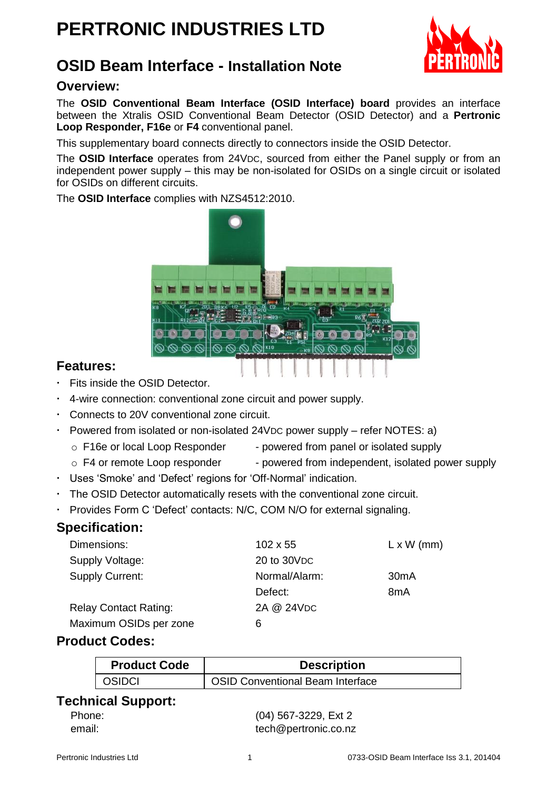# **PERTRONIC INDUSTRIES LTD**



## **OSID Beam Interface - Installation Note**

#### **Overview:**

The **OSID Conventional Beam Interface (OSID Interface) board** provides an interface between the Xtralis OSID Conventional Beam Detector (OSID Detector) and a **Pertronic Loop Responder, F16e** or **F4** conventional panel.

This supplementary board connects directly to connectors inside the OSID Detector.

The **OSID Interface** operates from 24VDC, sourced from either the Panel supply or from an independent power supply – this may be non-isolated for OSIDs on a single circuit or isolated for OSIDs on different circuits.

The **OSID Interface** complies with NZS4512:2010.



#### **Features:**

- Fits inside the OSID Detector.
- 4-wire connection: conventional zone circuit and power supply.
- Connects to 20V conventional zone circuit.
- Powered from isolated or non-isolated 24VDC power supply refer NOTES: a)
	- $\circ$  F16e or local Loop Responder powered from panel or isolated supply
	- $\circ$  F4 or remote Loop responder powered from independent, isolated power supply
- Uses 'Smoke' and 'Defect' regions for 'Off-Normal' indication.
- The OSID Detector automatically resets with the conventional zone circuit.
- Provides Form C 'Defect' contacts: N/C, COM N/O for external signaling.

#### **Specification:**

| Dimensions:                  | $102 \times 55$ | $L \times W$ (mm) |
|------------------------------|-----------------|-------------------|
| Supply Voltage:              | 20 to 30 VDC    |                   |
| Supply Current:              | Normal/Alarm:   | 30 <sub>m</sub> A |
|                              | Defect:         | 8 <sub>m</sub> A  |
| <b>Relay Contact Rating:</b> | 2A @ 24VDC      |                   |
| Maximum OSIDs per zone       | 6               |                   |

#### **Product Codes:**

| <b>Product Code</b> | <b>Description</b>                      |
|---------------------|-----------------------------------------|
| <b>OSIDCI</b>       | <b>OSID Conventional Beam Interface</b> |

#### **Technical Support:**

| Phone: |  |
|--------|--|
| email: |  |

(04) 567-3229, Ext 2 [tech@pertronic.co.nz](mailto:tech@pertronic.co.nz)